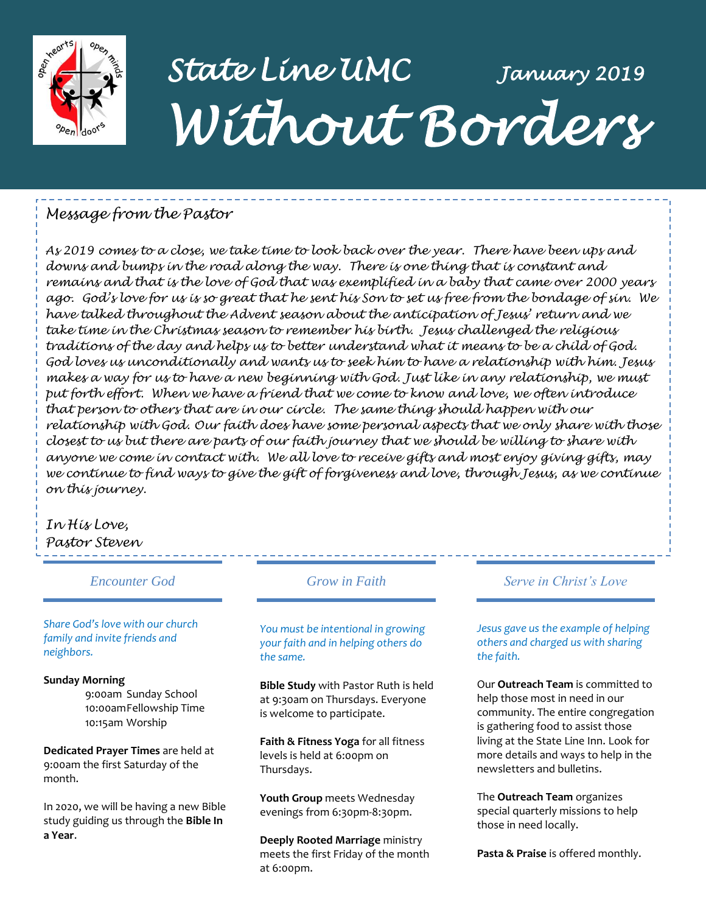

## *State Line UMC January 2019 Without Borders*

#### *Message from the Pastor*

*As 2019 comes to a close, we take time to look back over the year. There have been ups and downs and bumps in the road along the way. There is one thing that is constant and remains and that is the love of God that was exemplified in a baby that came over 2000 years ago. God's love for us is so great that he sent his Son to set us free from the bondage of sin. We have talked throughout the Advent season about the anticipation of Jesus' return and we take time in the Christmas season to remember his birth. Jesus challenged the religious traditions of the day and helps us to better understand what it means to be a child of God. God loves us unconditionally and wants us to seek him to have a relationship with him. Jesus makes a way for us to have a new beginning with God. Just like in any relationship, we must put forth effort. When we have a friend that we come to know and love, we often introduce that person to others that are in our circle. The same thing should happen with our relationship with God. Our faith does have some personal aspects that we only share with those closest to us but there are parts of our faith journey that we should be willing to share with anyone we come in contact with. We all love to receive gifts and most enjoy giving gifts, may we continue to find ways to give the gift of forgiveness and love, through Jesus, as we continue on this journey.* 

#### *In His Love, Pastor Steven*

*Encounter God Grow in Faith*

*Share God's love with our church family and invite friends and neighbors.*

#### **Sunday Morning**

9:00am Sunday School 10:00amFellowship Time 10:15am Worship

**Dedicated Prayer Times** are held at 9:00am the first Saturday of the month.

In 2020, we will be having a new Bible study guiding us through the **Bible In a Year**.

*You must be intentional in growing your faith and in helping others do the same.*

**Bible Study** with Pastor Ruth is held at 9:30am on Thursdays. Everyone is welcome to participate.

**Faith & Fitness Yoga** for all fitness levels is held at 6:00pm on Thursdays.

**Youth Group** meets Wednesday evenings from 6:30pm-8:30pm.

**Deeply Rooted Marriage** ministry meets the first Friday of the month at 6:00pm.

#### *Serve in Christ's Love*

*Jesus gave us the example of helping others and charged us with sharing the faith.*

Our **Outreach Team** is committed to help those most in need in our community. The entire congregation is gathering food to assist those living at the State Line Inn. Look for more details and ways to help in the newsletters and bulletins.

The **Outreach Team** organizes special quarterly missions to help those in need locally.

**Pasta & Praise** is offered monthly.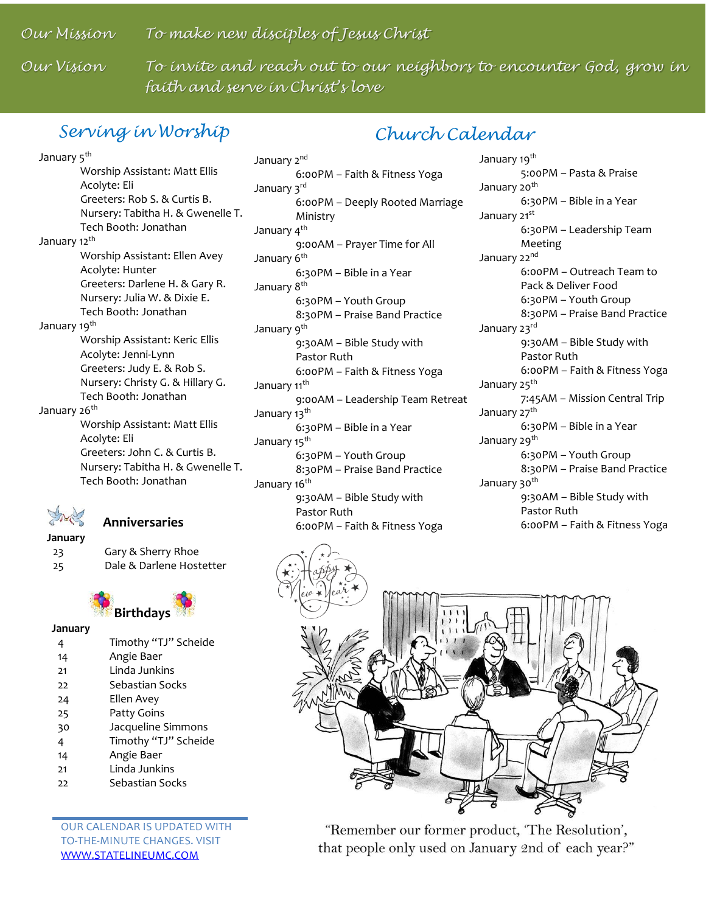*Our Mission To make new disciples of Jesus Christ*

Our Vision

To invite and reach out to our neighbors to encounter God, grow in *faith and serve in Christ's love*

### *Serving in Worship*

### *Church Calendar*

January 5<sup>th</sup> Worship Assistant: Matt Ellis Acolyte: Eli Greeters: Rob S. & Curtis B. Nursery: Tabitha H. & Gwenelle T. Tech Booth: Jonathan January 12<sup>th</sup> Worship Assistant: Ellen Avey Acolyte: Hunter Greeters: Darlene H. & Gary R. Nursery: Julia W. & Dixie E. Tech Booth: Jonathan January 19<sup>th</sup> Worship Assistant: Keric Ellis Acolyte: Jenni-Lynn Greeters: Judy E. & Rob S. Nursery: Christy G. & Hillary G. Tech Booth: Jonathan January 26<sup>th</sup> Worship Assistant: Matt Ellis Acolyte: Eli Greeters: John C. & Curtis B. Nursery: Tabitha H. & Gwenelle T. Tech Booth: Jonathan

 **Anniversaries**

**January** 23 Gary & Sherry Rhoe 25 Dale & Darlene Hostetter



#### **January**

|    | Timothy "TJ" Scheide |
|----|----------------------|
| 14 | Angie Baer           |
| 21 | Linda Junkins        |
| 22 | Sebastian Socks      |
| 24 | Ellen Avey           |
| 25 | Patty Goins          |
| 30 | Jacqueline Simmons   |
| 4  | Timothy "TJ" Scheide |
| 14 | Angie Baer           |
| 21 | Linda Junkins        |
| 22 | Sebastian Socks      |

OUR CALENDAR IS UPDATED WITH TO-THE-MINUTE CHANGES. VISIT [WWW.STATELINEUMC.COM](http://www.statelineumc.com/)

January 2<sup>nd</sup> 6:00PM – Faith & Fitness Yoga January 3rd 6:00PM – Deeply Rooted Marriage Ministry January 4<sup>th</sup> 9:00AM – Prayer Time for All January 6<sup>th</sup> 6:30PM – Bible in a Year January 8<sup>th</sup> 6:30PM – Youth Group 8:30PM – Praise Band Practice January 9<sup>th</sup> 9:30AM – Bible Study with Pastor Ruth 6:00PM – Faith & Fitness Yoga January 11<sup>th</sup> 9:00AM – Leadership Team Retreat January 13<sup>th</sup> 6:30PM – Bible in a Year January 15<sup>th</sup> 6:30PM – Youth Group 8:30PM – Praise Band Practice January 16<sup>th</sup> 9:30AM – Bible Study with Pastor Ruth 6:00PM – Faith & Fitness Yoga

January 19<sup>th</sup> 5:00PM – Pasta & Praise January 20<sup>th</sup> 6:30PM – Bible in a Year January 21st 6:30PM – Leadership Team Meeting January 22nd 6:00PM – Outreach Team to Pack & Deliver Food 6:30PM – Youth Group 8:30PM – Praise Band Practice January 23rd 9:30AM – Bible Study with Pastor Ruth 6:00PM – Faith & Fitness Yoga January 25<sup>th</sup> 7:45AM – Mission Central Trip January 27<sup>th</sup> 6:30PM – Bible in a Year January 29<sup>th</sup> 6:30PM – Youth Group 8:30PM – Praise Band Practice January 30<sup>th</sup> 9:30AM – Bible Study with Pastor Ruth

6:00PM – Faith & Fitness Yoga



"Remember our former product, 'The Resolution', that people only used on January 2nd of each year?"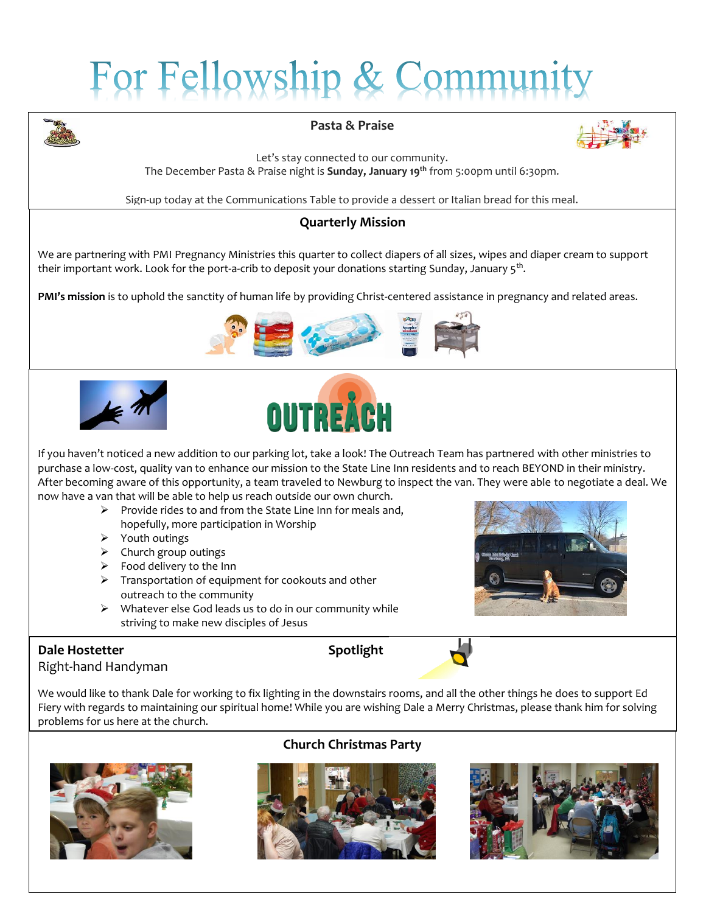# For Fellowship & Commun



#### **Pasta & Praise**



Let's stay connected to our community. The December Pasta & Praise night is **Sunday, January 19th** from 5:00pm until 6:30pm.

Sign-up today at the Communications Table to provide a dessert or Italian bread for this meal.

#### **Quarterly Mission**

We are partnering with PMI Pregnancy Ministries this quarter to collect diapers of all sizes, wipes and diaper cream to support their important work. Look for the port-a-crib to deposit your donations starting Sunday, January 5 $^{\rm th}$ .

**PMI's mission** is to uphold the sanctity of human life by providing Christ-centered assistance in pregnancy and related areas.







If you haven't noticed a new addition to our parking lot, take a look! The Outreach Team has partnered with other ministries to purchase a low-cost, quality van to enhance our mission to the State Line Inn residents and to reach BEYOND in their ministry. After becoming aware of this opportunity, a team traveled to Newburg to inspect the van. They were able to negotiate a deal. We now have a van that will be able to help us reach outside our own church.

- $\triangleright$  Provide rides to and from the State Line Inn for meals and, hopefully, more participation in Worship
- $\triangleright$  Youth outings
- $\triangleright$  Church group outings
- $\triangleright$  Food delivery to the Inn
- $\triangleright$  Transportation of equipment for cookouts and other outreach to the community
- $\triangleright$  Whatever else God leads us to do in our community while striving to make new disciples of Jesus

#### **Dale Hostetter Spotlight** Right-hand Handyman



#### We would like to thank Dale for working to fix lighting in the downstairs rooms, and all the other things he does to support Ed Fiery with regards to maintaining our spiritual home! While you are wishing Dale a Merry Christmas, please thank him for solving problems for us here at the church.



#### **Church Christmas Party**